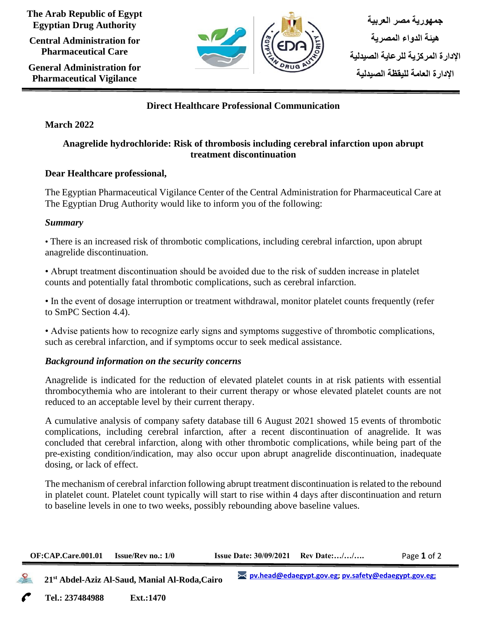**The Arab Republic of Egypt Egyptian Drug Authority**

**Central Administration for Pharmaceutical Care**

**General Administration for Pharmaceutical Vigilance**



# **Direct Healthcare Professional Communication**

# **March 2022**

# **Anagrelide hydrochloride: Risk of thrombosis including cerebral infarction upon abrupt treatment discontinuation**

# **Dear Healthcare professional,**

The Egyptian Pharmaceutical Vigilance Center of the Central Administration for Pharmaceutical Care at The Egyptian Drug Authority would like to inform you of the following:

### *Summary*

• There is an increased risk of thrombotic complications, including cerebral infarction, upon abrupt anagrelide discontinuation.

• Abrupt treatment discontinuation should be avoided due to the risk of sudden increase in platelet counts and potentially fatal thrombotic complications, such as cerebral infarction.

• In the event of dosage interruption or treatment withdrawal, monitor platelet counts frequently (refer to SmPC Section 4.4).

• Advise patients how to recognize early signs and symptoms suggestive of thrombotic complications, such as cerebral infarction, and if symptoms occur to seek medical assistance.

# *Background information on the security concerns*

Anagrelide is indicated for the reduction of elevated platelet counts in at risk patients with essential thrombocythemia who are intolerant to their current therapy or whose elevated platelet counts are not reduced to an acceptable level by their current therapy.

A cumulative analysis of company safety database till 6 August 2021 showed 15 events of thrombotic complications, including cerebral infarction, after a recent discontinuation of anagrelide. It was concluded that cerebral infarction, along with other thrombotic complications, while being part of the pre-existing condition/indication, may also occur upon abrupt anagrelide discontinuation, inadequate dosing, or lack of effect.

The mechanism of cerebral infarction following abrupt treatment discontinuation is related to the rebound in platelet count. Platelet count typically will start to rise within 4 days after discontinuation and return to baseline levels in one to two weeks, possibly rebounding above baseline values.

| <b>OF:CAP.Care.001.01</b> | <b>Issue/Rev no.: 1/0</b> | <b>Issue Date: 30/09/2021</b> Rev Date:// | Page 1 of $z$ |
|---------------------------|---------------------------|-------------------------------------------|---------------|
|                           |                           |                                           |               |

 **21st Abdel-Aziz Al-Saud, Manial Al-Roda,Cairo**

**Tel.: 237484988 Ext.:1470 Cairo**